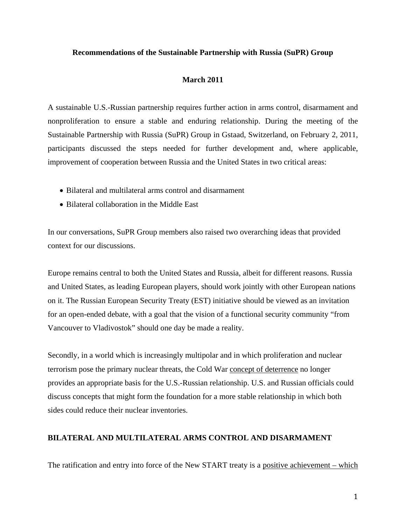## **Recommendations of the Sustainable Partnership with Russia (SuPR) Group**

## **March 2011**

A sustainable U.S.-Russian partnership requires further action in arms control, disarmament and nonproliferation to ensure a stable and enduring relationship. During the meeting of the Sustainable Partnership with Russia (SuPR) Group in Gstaad, Switzerland, on February 2, 2011, participants discussed the steps needed for further development and, where applicable, improvement of cooperation between Russia and the United States in two critical areas:

- Bilateral and multilateral arms control and disarmament
- Bilateral collaboration in the Middle East

In our conversations, SuPR Group members also raised two overarching ideas that provided context for our discussions.

Europe remains central to both the United States and Russia, albeit for different reasons. Russia and United States, as leading European players, should work jointly with other European nations on it. The Russian European Security Treaty (EST) initiative should be viewed as an invitation for an open-ended debate, with a goal that the vision of a functional security community "from Vancouver to Vladivostok" should one day be made a reality.

Secondly, in a world which is increasingly multipolar and in which proliferation and nuclear terrorism pose the primary nuclear threats, the Cold War concept of deterrence no longer provides an appropriate basis for the U.S.-Russian relationship. U.S. and Russian officials could discuss concepts that might form the foundation for a more stable relationship in which both sides could reduce their nuclear inventories.

## **BILATERAL AND MULTILATERAL ARMS CONTROL AND DISARMAMENT**

The ratification and entry into force of the New START treaty is a positive achievement – which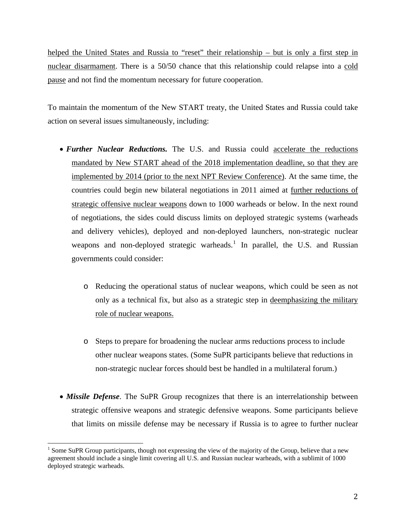helped the United States and Russia to "reset" their relationship – but is only a first step in nuclear disarmament. There is a 50/50 chance that this relationship could relapse into a cold pause and not find the momentum necessary for future cooperation.

To maintain the momentum of the New START treaty, the United States and Russia could take action on several issues simultaneously, including:

- *Further Nuclear Reductions.* The U.S. and Russia could accelerate the reductions mandated by New START ahead of the 2018 implementation deadline, so that they are implemented by 2014 (prior to the next NPT Review Conference). At the same time, the countries could begin new bilateral negotiations in 2011 aimed at further reductions of strategic offensive nuclear weapons down to 1000 warheads or below. In the next round of negotiations, the sides could discuss limits on deployed strategic systems (warheads and delivery vehicles), deployed and non-deployed launchers, non-strategic nuclear weapons and non-deployed strategic warheads.<sup>[1](#page-1-0)</sup> In parallel, the U.S. and Russian governments could consider:
	- o Reducing the operational status of nuclear weapons, which could be seen as not only as a technical fix, but also as a strategic step in deemphasizing the military role of nuclear weapons.
	- o Steps to prepare for broadening the nuclear arms reductions process to include other nuclear weapons states. (Some SuPR participants believe that reductions in non-strategic nuclear forces should best be handled in a multilateral forum.)
- *Missile Defense*. The SuPR Group recognizes that there is an interrelationship between strategic offensive weapons and strategic defensive weapons. Some participants believe that limits on missile defense may be necessary if Russia is to agree to further nuclear

<span id="page-1-0"></span><sup>&</sup>lt;sup>1</sup> Some SuPR Group participants, though not expressing the view of the majority of the Group, believe that a new agreement should include a single limit covering all U.S. and Russian nuclear warheads, with a sublimit of 1000 deployed strategic warheads.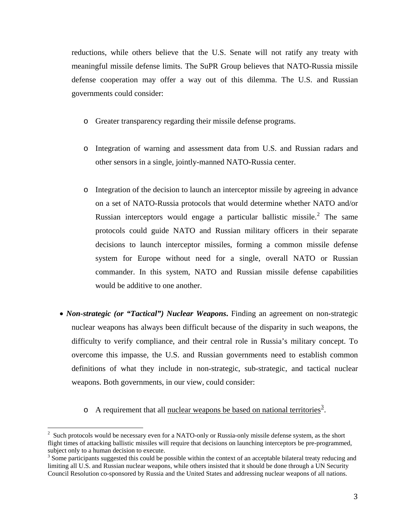reductions, while others believe that the U.S. Senate will not ratify any treaty with meaningful missile defense limits. The SuPR Group believes that NATO-Russia missile defense cooperation may offer a way out of this dilemma. The U.S. and Russian governments could consider:

- o Greater transparency regarding their missile defense programs.
- o Integration of warning and assessment data from U.S. and Russian radars and other sensors in a single, jointly-manned NATO-Russia center.
- o Integration of the decision to launch an interceptor missile by agreeing in advance on a set of NATO-Russia protocols that would determine whether NATO and/or Russian interceptors would engage a particular ballistic missile. $<sup>2</sup>$  $<sup>2</sup>$  $<sup>2</sup>$  The same</sup> protocols could guide NATO and Russian military officers in their separate decisions to launch interceptor missiles, forming a common missile defense system for Europe without need for a single, overall NATO or Russian commander. In this system, NATO and Russian missile defense capabilities would be additive to one another.
- *Non-strategic (or "Tactical") Nuclear Weapons*. Finding an agreement on non-strategic nuclear weapons has always been difficult because of the disparity in such weapons, the difficulty to verify compliance, and their central role in Russia's military concept. To overcome this impasse, the U.S. and Russian governments need to establish common definitions of what they include in non-strategic, sub-strategic, and tactical nuclear weapons. Both governments, in our view, could consider:
	- $\circ$  A requirement that all nuclear weapons be based on national territories<sup>[3](#page-2-1)</sup>.

<span id="page-2-0"></span> $2^{2}$  Such protocols would be necessary even for a NATO-only or Russia-only missile defense system, as the short flight times of attacking ballistic missiles will require that decisions on launching interceptors be pre-programmed, subject only to a human decision to execute.

<span id="page-2-1"></span> $3$  Some participants suggested this could be possible within the context of an acceptable bilateral treaty reducing and limiting all U.S. and Russian nuclear weapons, while others insisted that it should be done through a UN Security Council Resolution co-sponsored by Russia and the United States and addressing nuclear weapons of all nations.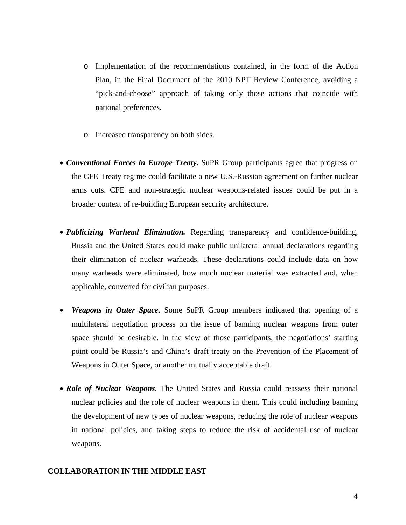- o Implementation of the recommendations contained, in the form of the Action Plan, in the Final Document of the 2010 NPT Review Conference, avoiding a "pick-and-choose" approach of taking only those actions that coincide with national preferences.
- o Increased transparency on both sides.
- *Conventional Forces in Europe Treaty***.** SuPR Group participants agree that progress on the CFE Treaty regime could facilitate a new U.S.-Russian agreement on further nuclear arms cuts. CFE and non-strategic nuclear weapons-related issues could be put in a broader context of re-building European security architecture.
- *Publicizing Warhead Elimination.* Regarding transparency and confidence-building, Russia and the United States could make public unilateral annual declarations regarding their elimination of nuclear warheads. These declarations could include data on how many warheads were eliminated, how much nuclear material was extracted and, when applicable, converted for civilian purposes.
- *Weapons in Outer Space*. Some SuPR Group members indicated that opening of a multilateral negotiation process on the issue of banning nuclear weapons from outer space should be desirable. In the view of those participants, the negotiations' starting point could be Russia's and China's draft treaty on the Prevention of the Placement of Weapons in Outer Space, or another mutually acceptable draft.
- *Role of Nuclear Weapons*. The United States and Russia could reassess their national nuclear policies and the role of nuclear weapons in them. This could including banning the development of new types of nuclear weapons, reducing the role of nuclear weapons in national policies, and taking steps to reduce the risk of accidental use of nuclear weapons.

## **COLLABORATION IN THE MIDDLE EAST**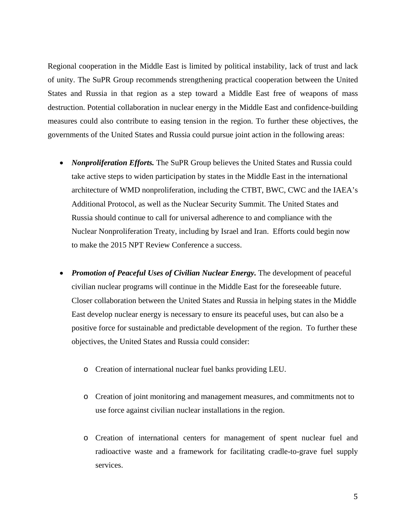Regional cooperation in the Middle East is limited by political instability, lack of trust and lack of unity. The SuPR Group recommends strengthening practical cooperation between the United States and Russia in that region as a step toward a Middle East free of weapons of mass destruction. Potential collaboration in nuclear energy in the Middle East and confidence-building measures could also contribute to easing tension in the region. To further these objectives, the governments of the United States and Russia could pursue joint action in the following areas:

- *Nonproliferation Efforts*. The SuPR Group believes the United States and Russia could take active steps to widen participation by states in the Middle East in the international architecture of WMD nonproliferation, including the CTBT, BWC, CWC and the IAEA's Additional Protocol, as well as the Nuclear Security Summit. The United States and Russia should continue to call for universal adherence to and compliance with the Nuclear Nonproliferation Treaty, including by Israel and Iran. Efforts could begin now to make the 2015 NPT Review Conference a success.
- *Promotion of Peaceful Uses of Civilian Nuclear Energy*. The development of peaceful civilian nuclear programs will continue in the Middle East for the foreseeable future. Closer collaboration between the United States and Russia in helping states in the Middle East develop nuclear energy is necessary to ensure its peaceful uses, but can also be a positive force for sustainable and predictable development of the region. To further these objectives, the United States and Russia could consider:
	- o Creation of international nuclear fuel banks providing LEU.
	- o Creation of joint monitoring and management measures, and commitments not to use force against civilian nuclear installations in the region.
	- o Creation of international centers for management of spent nuclear fuel and radioactive waste and a framework for facilitating cradle-to-grave fuel supply services.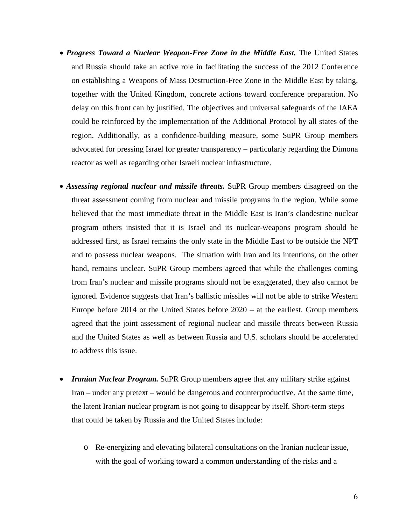- *Progress Toward a Nuclear Weapon-Free Zone in the Middle East*. The United States and Russia should take an active role in facilitating the success of the 2012 Conference on establishing a Weapons of Mass Destruction-Free Zone in the Middle East by taking, together with the United Kingdom, concrete actions toward conference preparation. No delay on this front can by justified. The objectives and universal safeguards of the IAEA could be reinforced by the implementation of the Additional Protocol by all states of the region. Additionally, as a confidence-building measure, some SuPR Group members advocated for pressing Israel for greater transparency – particularly regarding the Dimona reactor as well as regarding other Israeli nuclear infrastructure.
- *Assessing regional nuclear and missile threats.* SuPR Group members disagreed on the threat assessment coming from nuclear and missile programs in the region. While some believed that the most immediate threat in the Middle East is Iran's clandestine nuclear program others insisted that it is Israel and its nuclear-weapons program should be addressed first, as Israel remains the only state in the Middle East to be outside the NPT and to possess nuclear weapons. The situation with Iran and its intentions, on the other hand, remains unclear. SuPR Group members agreed that while the challenges coming from Iran's nuclear and missile programs should not be exaggerated, they also cannot be ignored. Evidence suggests that Iran's ballistic missiles will not be able to strike Western Europe before 2014 or the United States before 2020 – at the earliest. Group members agreed that the joint assessment of regional nuclear and missile threats between Russia and the United States as well as between Russia and U.S. scholars should be accelerated to address this issue.
- *Iranian Nuclear Program.* SuPR Group members agree that any military strike against Iran – under any pretext – would be dangerous and counterproductive. At the same time, the latent Iranian nuclear program is not going to disappear by itself. Short-term steps that could be taken by Russia and the United States include:
	- o Re-energizing and elevating bilateral consultations on the Iranian nuclear issue, with the goal of working toward a common understanding of the risks and a